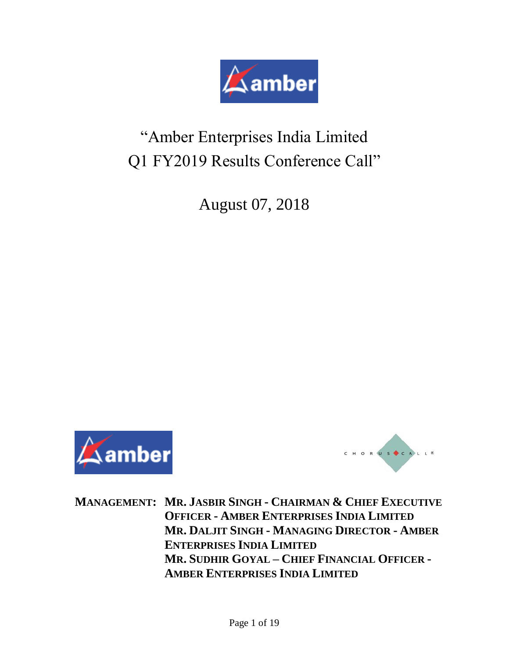

# "Amber Enterprises India Limited Q1 FY2019 Results Conference Call"

August 07, 2018





**MANAGEMENT: MR. JASBIR SINGH - CHAIRMAN & CHIEF EXECUTIVE OFFICER - AMBER ENTERPRISES INDIA LIMITED MR. DALJIT SINGH - MANAGING DIRECTOR - AMBER ENTERPRISES INDIA LIMITED MR. SUDHIR GOYAL – CHIEF FINANCIAL OFFICER - AMBER ENTERPRISES INDIA LIMITED**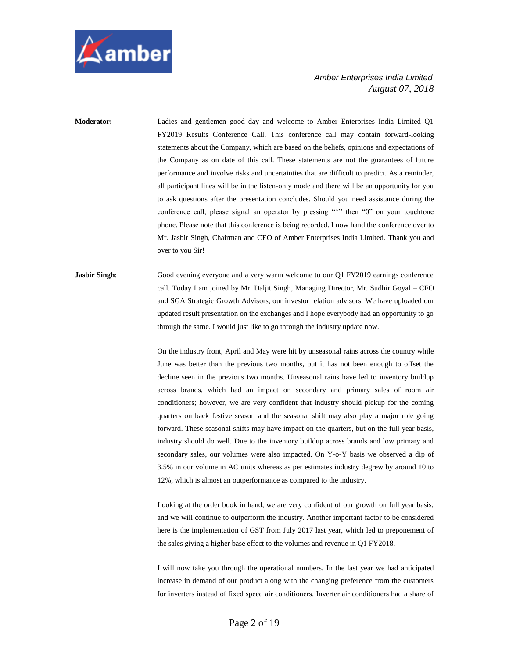

**Moderator:** Ladies and gentlemen good day and welcome to Amber Enterprises India Limited Q1 FY2019 Results Conference Call. This conference call may contain forward-looking statements about the Company, which are based on the beliefs, opinions and expectations of the Company as on date of this call. These statements are not the guarantees of future performance and involve risks and uncertainties that are difficult to predict. As a reminder, all participant lines will be in the listen-only mode and there will be an opportunity for you to ask questions after the presentation concludes. Should you need assistance during the conference call, please signal an operator by pressing "\*" then "0" on your touchtone phone. Please note that this conference is being recorded. I now hand the conference over to Mr. Jasbir Singh, Chairman and CEO of Amber Enterprises India Limited. Thank you and over to you Sir!

**Jasbir Singh:** Good evening everyone and a very warm welcome to our Q1 FY2019 earnings conference call. Today I am joined by Mr. Daljit Singh, Managing Director, Mr. Sudhir Goyal – CFO and SGA Strategic Growth Advisors, our investor relation advisors. We have uploaded our updated result presentation on the exchanges and I hope everybody had an opportunity to go through the same. I would just like to go through the industry update now.

> On the industry front, April and May were hit by unseasonal rains across the country while June was better than the previous two months, but it has not been enough to offset the decline seen in the previous two months. Unseasonal rains have led to inventory buildup across brands, which had an impact on secondary and primary sales of room air conditioners; however, we are very confident that industry should pickup for the coming quarters on back festive season and the seasonal shift may also play a major role going forward. These seasonal shifts may have impact on the quarters, but on the full year basis, industry should do well. Due to the inventory buildup across brands and low primary and secondary sales, our volumes were also impacted. On Y-o-Y basis we observed a dip of 3.5% in our volume in AC units whereas as per estimates industry degrew by around 10 to 12%, which is almost an outperformance as compared to the industry.

> Looking at the order book in hand, we are very confident of our growth on full year basis, and we will continue to outperform the industry. Another important factor to be considered here is the implementation of GST from July 2017 last year, which led to preponement of the sales giving a higher base effect to the volumes and revenue in Q1 FY2018.

> I will now take you through the operational numbers. In the last year we had anticipated increase in demand of our product along with the changing preference from the customers for inverters instead of fixed speed air conditioners. Inverter air conditioners had a share of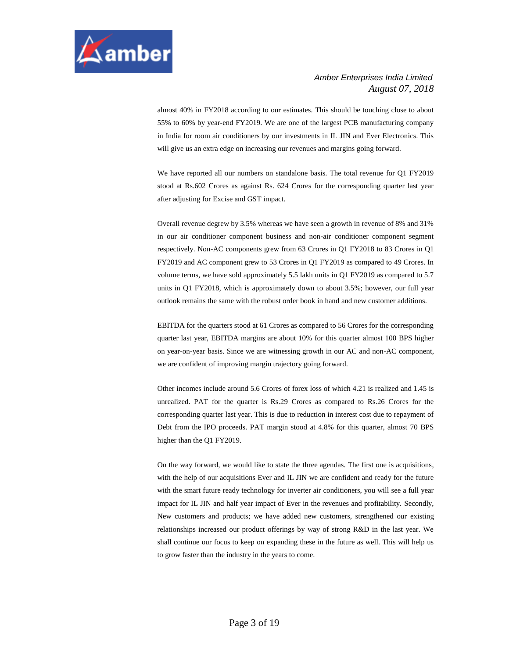

almost 40% in FY2018 according to our estimates. This should be touching close to about 55% to 60% by year-end FY2019. We are one of the largest PCB manufacturing company in India for room air conditioners by our investments in IL JIN and Ever Electronics. This will give us an extra edge on increasing our revenues and margins going forward.

We have reported all our numbers on standalone basis. The total revenue for Q1 FY2019 stood at Rs.602 Crores as against Rs. 624 Crores for the corresponding quarter last year after adjusting for Excise and GST impact.

Overall revenue degrew by 3.5% whereas we have seen a growth in revenue of 8% and 31% in our air conditioner component business and non-air conditioner component segment respectively. Non-AC components grew from 63 Crores in Q1 FY2018 to 83 Crores in Q1 FY2019 and AC component grew to 53 Crores in Q1 FY2019 as compared to 49 Crores. In volume terms, we have sold approximately 5.5 lakh units in Q1 FY2019 as compared to 5.7 units in Q1 FY2018, which is approximately down to about 3.5%; however, our full year outlook remains the same with the robust order book in hand and new customer additions.

EBITDA for the quarters stood at 61 Crores as compared to 56 Crores for the corresponding quarter last year, EBITDA margins are about 10% for this quarter almost 100 BPS higher on year-on-year basis. Since we are witnessing growth in our AC and non-AC component, we are confident of improving margin trajectory going forward.

Other incomes include around 5.6 Crores of forex loss of which 4.21 is realized and 1.45 is unrealized. PAT for the quarter is Rs.29 Crores as compared to Rs.26 Crores for the corresponding quarter last year. This is due to reduction in interest cost due to repayment of Debt from the IPO proceeds. PAT margin stood at 4.8% for this quarter, almost 70 BPS higher than the Q1 FY2019.

On the way forward, we would like to state the three agendas. The first one is acquisitions, with the help of our acquisitions Ever and IL JIN we are confident and ready for the future with the smart future ready technology for inverter air conditioners, you will see a full year impact for IL JIN and half year impact of Ever in the revenues and profitability. Secondly, New customers and products; we have added new customers, strengthened our existing relationships increased our product offerings by way of strong R&D in the last year. We shall continue our focus to keep on expanding these in the future as well. This will help us to grow faster than the industry in the years to come.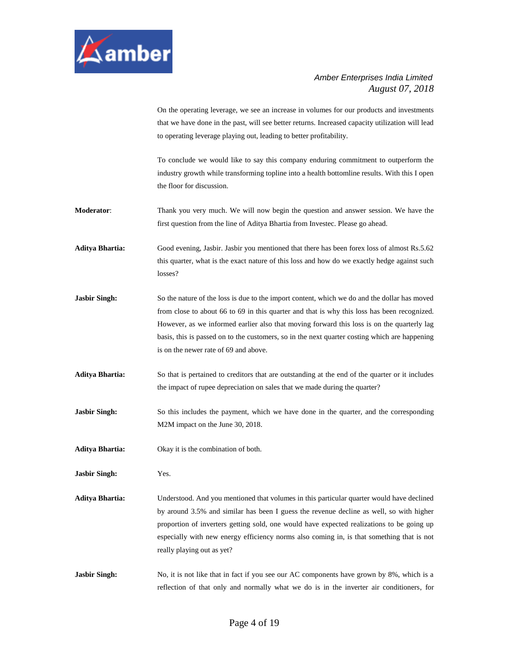

On the operating leverage, we see an increase in volumes for our products and investments that we have done in the past, will see better returns. Increased capacity utilization will lead to operating leverage playing out, leading to better profitability.

To conclude we would like to say this company enduring commitment to outperform the industry growth while transforming topline into a health bottomline results. With this I open the floor for discussion.

- **Moderator**: Thank you very much. We will now begin the question and answer session. We have the first question from the line of Aditya Bhartia from Investec. Please go ahead.
- **Aditya Bhartia:** Good evening, Jasbir. Jasbir you mentioned that there has been forex loss of almost Rs.5.62 this quarter, what is the exact nature of this loss and how do we exactly hedge against such losses?
- **Jasbir Singh:** So the nature of the loss is due to the import content, which we do and the dollar has moved from close to about 66 to 69 in this quarter and that is why this loss has been recognized. However, as we informed earlier also that moving forward this loss is on the quarterly lag basis, this is passed on to the customers, so in the next quarter costing which are happening is on the newer rate of 69 and above.
- **Aditya Bhartia:** So that is pertained to creditors that are outstanding at the end of the quarter or it includes the impact of rupee depreciation on sales that we made during the quarter?
- **Jasbir Singh:** So this includes the payment, which we have done in the quarter, and the corresponding M2M impact on the June 30, 2018.
- **Aditya Bhartia:** Okay it is the combination of both.
- **Jasbir Singh:** Yes.
- **Aditya Bhartia:** Understood. And you mentioned that volumes in this particular quarter would have declined by around 3.5% and similar has been I guess the revenue decline as well, so with higher proportion of inverters getting sold, one would have expected realizations to be going up especially with new energy efficiency norms also coming in, is that something that is not really playing out as yet?
- **Jasbir Singh:** No, it is not like that in fact if you see our AC components have grown by 8%, which is a reflection of that only and normally what we do is in the inverter air conditioners, for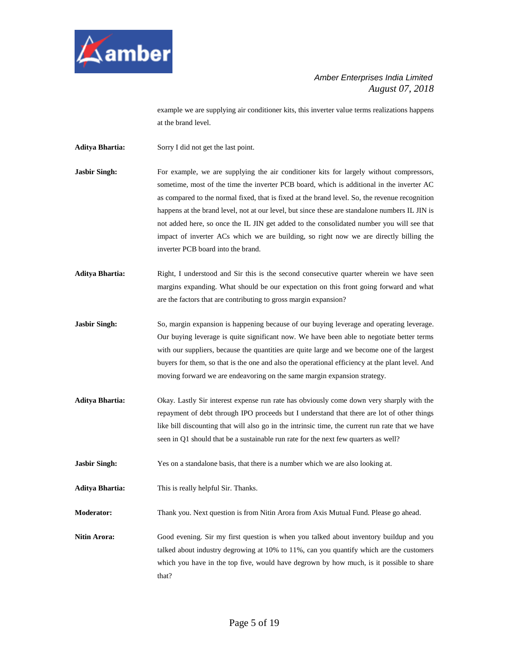

example we are supplying air conditioner kits, this inverter value terms realizations happens at the brand level.

**Aditya Bhartia:** Sorry I did not get the last point.

- **Jasbir Singh:** For example, we are supplying the air conditioner kits for largely without compressors, sometime, most of the time the inverter PCB board, which is additional in the inverter AC as compared to the normal fixed, that is fixed at the brand level. So, the revenue recognition happens at the brand level, not at our level, but since these are standalone numbers IL JIN is not added here, so once the IL JIN get added to the consolidated number you will see that impact of inverter ACs which we are building, so right now we are directly billing the inverter PCB board into the brand.
- Aditya Bhartia: Right, I understood and Sir this is the second consecutive quarter wherein we have seen margins expanding. What should be our expectation on this front going forward and what are the factors that are contributing to gross margin expansion?
- **Jasbir Singh:** So, margin expansion is happening because of our buying leverage and operating leverage. Our buying leverage is quite significant now. We have been able to negotiate better terms with our suppliers, because the quantities are quite large and we become one of the largest buyers for them, so that is the one and also the operational efficiency at the plant level. And moving forward we are endeavoring on the same margin expansion strategy.
- **Aditya Bhartia:** Okay. Lastly Sir interest expense run rate has obviously come down very sharply with the repayment of debt through IPO proceeds but I understand that there are lot of other things like bill discounting that will also go in the intrinsic time, the current run rate that we have seen in Q1 should that be a sustainable run rate for the next few quarters as well?

**Jasbir Singh:** Yes on a standalone basis, that there is a number which we are also looking at.

**Aditya Bhartia:** This is really helpful Sir. Thanks.

**Moderator:** Thank you. Next question is from Nitin Arora from Axis Mutual Fund. Please go ahead.

**Nitin Arora:** Good evening. Sir my first question is when you talked about inventory buildup and you talked about industry degrowing at 10% to 11%, can you quantify which are the customers which you have in the top five, would have degrown by how much, is it possible to share that?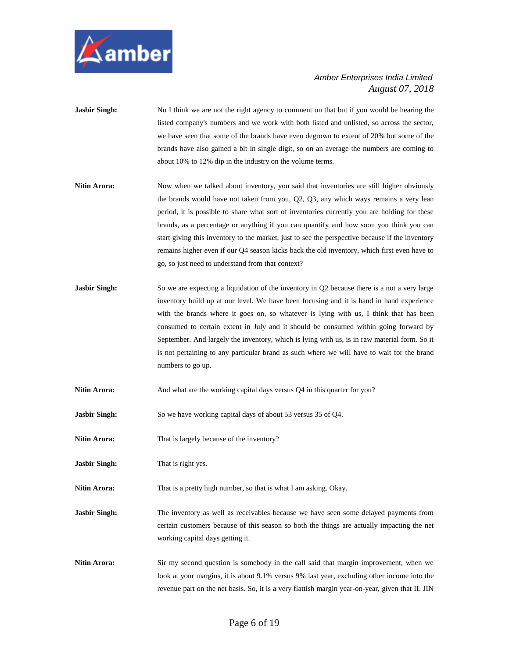

- **Jasbir Singh:** No I think we are not the right agency to comment on that but if you would be hearing the listed company's numbers and we work with both listed and unlisted, so across the sector, we have seen that some of the brands have even degrown to extent of 20% but some of the brands have also gained a bit in single digit, so on an average the numbers are coming to about 10% to 12% dip in the industry on the volume terms.
- Nitin Arora: Now when we talked about inventory, you said that inventories are still higher obviously the brands would have not taken from you, Q2, Q3, any which ways remains a very lean period, it is possible to share what sort of inventories currently you are holding for these brands, as a percentage or anything if you can quantify and how soon you think you can start giving this inventory to the market, just to see the perspective because if the inventory remains higher even if our Q4 season kicks back the old inventory, which first even have to go, so just need to understand from that context?
- **Jasbir Singh:** So we are expecting a liquidation of the inventory in Q2 because there is a not a very large inventory build up at our level. We have been focusing and it is hand in hand experience with the brands where it goes on, so whatever is lying with us, I think that has been consumed to certain extent in July and it should be consumed within going forward by September. And largely the inventory, which is lying with us, is in raw material form. So it is not pertaining to any particular brand as such where we will have to wait for the brand numbers to go up.
- **Nitin Arora:** And what are the working capital days versus Q4 in this quarter for you?
- **Jasbir Singh:** So we have working capital days of about 53 versus 35 of Q4.
- **Nitin Arora:** That is largely because of the inventory?
- **Jasbir Singh:** That is right yes.

**Nitin Arora:** That is a pretty high number, so that is what I am asking. Okay.

**Jasbir Singh:** The inventory as well as receivables because we have seen some delayed payments from certain customers because of this season so both the things are actually impacting the net working capital days getting it.

**Nitin Arora:** Sir my second question is somebody in the call said that margin improvement, when we look at your margins, it is about 9.1% versus 9% last year, excluding other income into the revenue part on the net basis. So, it is a very flattish margin year-on-year, given that IL JIN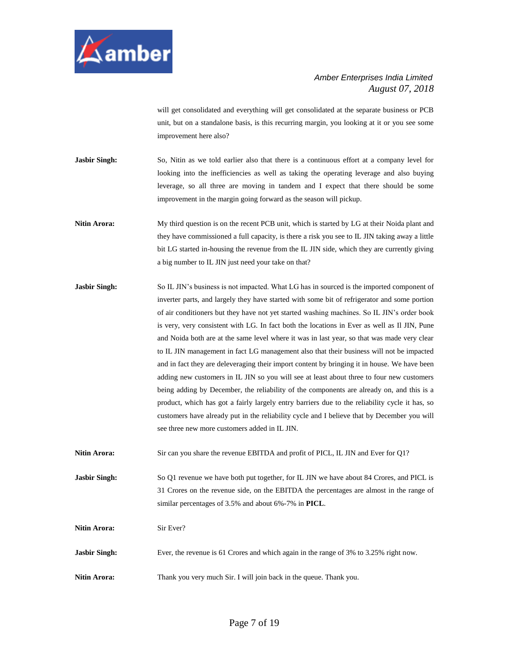

will get consolidated and everything will get consolidated at the separate business or PCB unit, but on a standalone basis, is this recurring margin, you looking at it or you see some improvement here also?

- **Jasbir Singh:** So, Nitin as we told earlier also that there is a continuous effort at a company level for looking into the inefficiencies as well as taking the operating leverage and also buying leverage, so all three are moving in tandem and I expect that there should be some improvement in the margin going forward as the season will pickup.
- **Nitin Arora:** My third question is on the recent PCB unit, which is started by LG at their Noida plant and they have commissioned a full capacity, is there a risk you see to IL JIN taking away a little bit LG started in-housing the revenue from the IL JIN side, which they are currently giving a big number to IL JIN just need your take on that?
- **Jasbir Singh:** So IL JIN's business is not impacted. What LG has in sourced is the imported component of inverter parts, and largely they have started with some bit of refrigerator and some portion of air conditioners but they have not yet started washing machines. So IL JIN's order book is very, very consistent with LG. In fact both the locations in Ever as well as Il JIN, Pune and Noida both are at the same level where it was in last year, so that was made very clear to IL JIN management in fact LG management also that their business will not be impacted and in fact they are deleveraging their import content by bringing it in house. We have been adding new customers in IL JIN so you will see at least about three to four new customers being adding by December, the reliability of the components are already on, and this is a product, which has got a fairly largely entry barriers due to the reliability cycle it has, so customers have already put in the reliability cycle and I believe that by December you will see three new more customers added in IL JIN.
- **Nitin Arora:** Sir can you share the revenue EBITDA and profit of PICL, IL JIN and Ever for Q1?

**Jasbir Singh:** So Q1 revenue we have both put together, for IL JIN we have about 84 Crores, and PICL is 31 Crores on the revenue side, on the EBITDA the percentages are almost in the range of similar percentages of 3.5% and about 6%-7% in **PICL**.

**Nitin Arora:** Sir Ever?

- **Jasbir Singh:** Ever, the revenue is 61 Crores and which again in the range of 3% to 3.25% right now.
- **Nitin Arora:** Thank you very much Sir. I will join back in the queue. Thank you.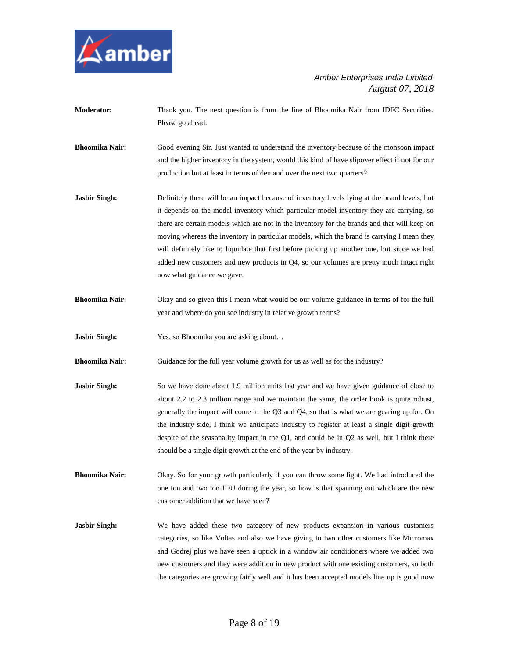

- **Moderator:** Thank you. The next question is from the line of Bhoomika Nair from IDFC Securities. Please go ahead.
- **Bhoomika Nair:** Good evening Sir. Just wanted to understand the inventory because of the monsoon impact and the higher inventory in the system, would this kind of have slipover effect if not for our production but at least in terms of demand over the next two quarters?
- **Jasbir Singh:** Definitely there will be an impact because of inventory levels lying at the brand levels, but it depends on the model inventory which particular model inventory they are carrying, so there are certain models which are not in the inventory for the brands and that will keep on moving whereas the inventory in particular models, which the brand is carrying I mean they will definitely like to liquidate that first before picking up another one, but since we had added new customers and new products in Q4, so our volumes are pretty much intact right now what guidance we gave.
- **Bhoomika Nair:** Okay and so given this I mean what would be our volume guidance in terms of for the full year and where do you see industry in relative growth terms?
- **Jasbir Singh:** Yes, so Bhoomika you are asking about...
- **Bhoomika Nair:** Guidance for the full year volume growth for us as well as for the industry?
- **Jasbir Singh:** So we have done about 1.9 million units last year and we have given guidance of close to about 2.2 to 2.3 million range and we maintain the same, the order book is quite robust, generally the impact will come in the Q3 and Q4, so that is what we are gearing up for. On the industry side, I think we anticipate industry to register at least a single digit growth despite of the seasonality impact in the Q1, and could be in Q2 as well, but I think there should be a single digit growth at the end of the year by industry.
- **Bhoomika Nair:** Okay. So for your growth particularly if you can throw some light. We had introduced the one ton and two ton IDU during the year, so how is that spanning out which are the new customer addition that we have seen?
- **Jasbir Singh:** We have added these two category of new products expansion in various customers categories, so like Voltas and also we have giving to two other customers like Micromax and Godrej plus we have seen a uptick in a window air conditioners where we added two new customers and they were addition in new product with one existing customers, so both the categories are growing fairly well and it has been accepted models line up is good now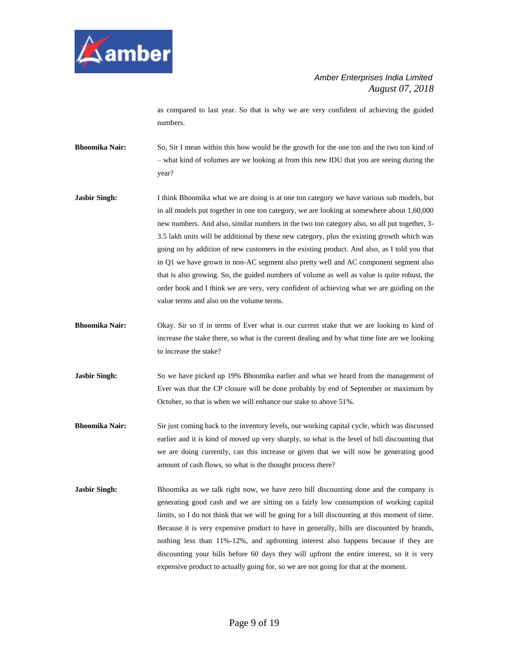

as compared to last year. So that is why we are very confident of achieving the guided numbers.

**Bhoomika Nair:** So, Sir I mean within this how would be the growth for the one ton and the two ton kind of – what kind of volumes are we looking at from this new IDU that you are seeing during the year?

- **Jasbir Singh:** I think Bhoomika what we are doing is at one ton category we have various sub models, but in all models put together in one ton category, we are looking at somewhere about 1,60,000 new numbers. And also, similar numbers in the two ton category also, so all put together, 3- 3.5 lakh units will be additional by these new category, plus the existing growth which was going on by addition of new customers in the existing product. And also, as I told you that in Q1 we have grown in non-AC segment also pretty well and AC component segment also that is also growing. So, the guided numbers of volume as well as value is quite robust, the order book and I think we are very, very confident of achieving what we are guiding on the value terms and also on the volume terms.
- **Bhoomika Nair:** Okay. Sir so if in terms of Ever what is our current stake that we are looking to kind of increase the stake there, so what is the current dealing and by what time line are we looking to increase the stake?
- **Jasbir Singh:** So we have picked up 19% Bhoomika earlier and what we heard from the management of Ever was that the CP closure will be done probably by end of September or maximum by October, so that is when we will enhance our stake to above 51%.
- **Bhoomika Nair:** Sir just coming back to the inventory levels, our working capital cycle, which was discussed earlier and it is kind of moved up very sharply, so what is the level of bill discounting that we are doing currently, can this increase or given that we will now be generating good amount of cash flows, so what is the thought process there?
- **Jasbir Singh:** Bhoomika as we talk right now, we have zero bill discounting done and the company is generating good cash and we are sitting on a fairly low consumption of working capital limits, so I do not think that we will be going for a bill discounting at this moment of time. Because it is very expensive product to have in generally, bills are discounted by brands, nothing less than 11%-12%, and upfronting interest also happens because if they are discounting your bills before 60 days they will upfront the entire interest, so it is very expensive product to actually going for, so we are not going for that at the moment.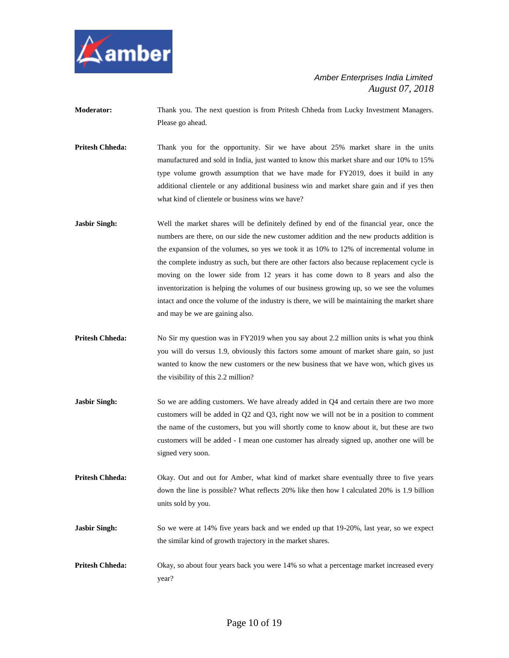

- **Moderator:** Thank you. The next question is from Pritesh Chheda from Lucky Investment Managers. Please go ahead.
- **Pritesh Chheda:** Thank you for the opportunity. Sir we have about 25% market share in the units manufactured and sold in India, just wanted to know this market share and our 10% to 15% type volume growth assumption that we have made for FY2019, does it build in any additional clientele or any additional business win and market share gain and if yes then what kind of clientele or business wins we have?
- **Jasbir Singh:** Well the market shares will be definitely defined by end of the financial year, once the numbers are there, on our side the new customer addition and the new products addition is the expansion of the volumes, so yes we took it as 10% to 12% of incremental volume in the complete industry as such, but there are other factors also because replacement cycle is moving on the lower side from 12 years it has come down to 8 years and also the inventorization is helping the volumes of our business growing up, so we see the volumes intact and once the volume of the industry is there, we will be maintaining the market share and may be we are gaining also.
- **Pritesh Chheda:** No Sir my question was in FY2019 when you say about 2.2 million units is what you think you will do versus 1.9, obviously this factors some amount of market share gain, so just wanted to know the new customers or the new business that we have won, which gives us the visibility of this 2.2 million?
- **Jasbir Singh:** So we are adding customers. We have already added in Q4 and certain there are two more customers will be added in Q2 and Q3, right now we will not be in a position to comment the name of the customers, but you will shortly come to know about it, but these are two customers will be added - I mean one customer has already signed up, another one will be signed very soon.
- **Pritesh Chheda:** Okay. Out and out for Amber, what kind of market share eventually three to five years down the line is possible? What reflects 20% like then how I calculated 20% is 1.9 billion units sold by you.
- **Jasbir Singh:** So we were at 14% five years back and we ended up that 19-20%, last year, so we expect the similar kind of growth trajectory in the market shares.
- **Pritesh Chheda:** Okay, so about four years back you were 14% so what a percentage market increased every year?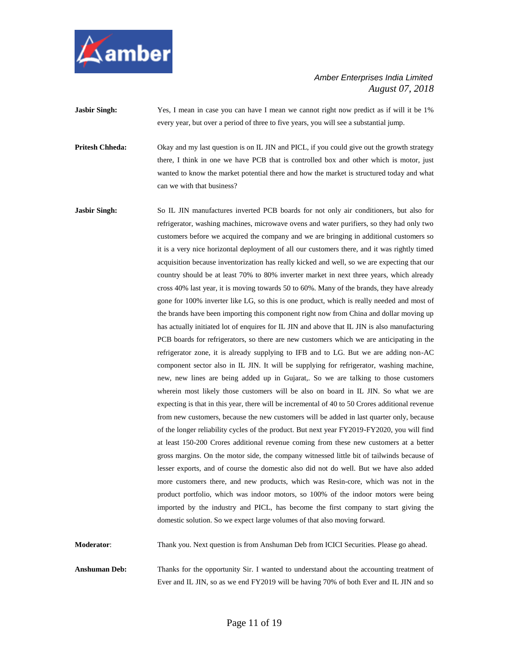

**Jasbir Singh:** Yes, I mean in case you can have I mean we cannot right now predict as if will it be 1% every year, but over a period of three to five years, you will see a substantial jump.

**Pritesh Chheda:** Okay and my last question is on IL JIN and PICL, if you could give out the growth strategy there, I think in one we have PCB that is controlled box and other which is motor, just wanted to know the market potential there and how the market is structured today and what can we with that business?

**Jasbir Singh:** So IL JIN manufactures inverted PCB boards for not only air conditioners, but also for refrigerator, washing machines, microwave ovens and water purifiers, so they had only two customers before we acquired the company and we are bringing in additional customers so it is a very nice horizontal deployment of all our customers there, and it was rightly timed acquisition because inventorization has really kicked and well, so we are expecting that our country should be at least 70% to 80% inverter market in next three years, which already cross 40% last year, it is moving towards 50 to 60%. Many of the brands, they have already gone for 100% inverter like LG, so this is one product, which is really needed and most of the brands have been importing this component right now from China and dollar moving up has actually initiated lot of enquires for IL JIN and above that IL JIN is also manufacturing PCB boards for refrigerators, so there are new customers which we are anticipating in the refrigerator zone, it is already supplying to IFB and to LG. But we are adding non-AC component sector also in IL JIN. It will be supplying for refrigerator, washing machine, new, new lines are being added up in Gujarat,. So we are talking to those customers wherein most likely those customers will be also on board in IL JIN. So what we are expecting is that in this year, there will be incremental of 40 to 50 Crores additional revenue from new customers, because the new customers will be added in last quarter only, because of the longer reliability cycles of the product. But next year FY2019-FY2020, you will find at least 150-200 Crores additional revenue coming from these new customers at a better gross margins. On the motor side, the company witnessed little bit of tailwinds because of lesser exports, and of course the domestic also did not do well. But we have also added more customers there, and new products, which was Resin-core, which was not in the product portfolio, which was indoor motors, so 100% of the indoor motors were being imported by the industry and PICL, has become the first company to start giving the domestic solution. So we expect large volumes of that also moving forward.

**Moderator**: Thank you. Next question is from Anshuman Deb from ICICI Securities. Please go ahead.

**Anshuman Deb:** Thanks for the opportunity Sir. I wanted to understand about the accounting treatment of Ever and IL JIN, so as we end FY2019 will be having 70% of both Ever and IL JIN and so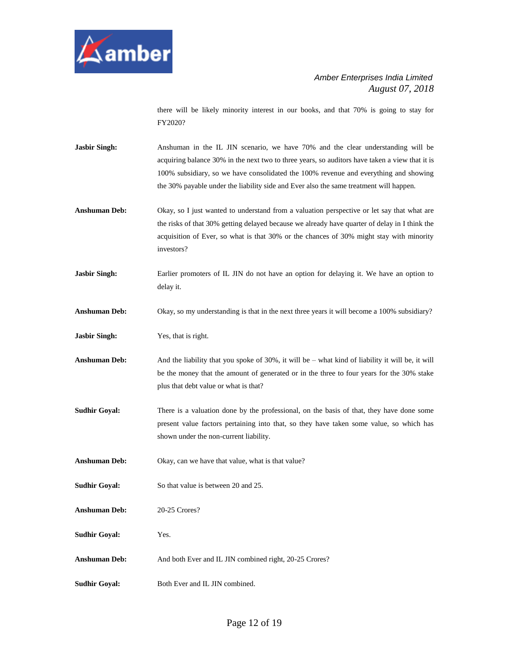

there will be likely minority interest in our books, and that 70% is going to stay for FY2020?

- Jasbir Singh: Anshuman in the IL JIN scenario, we have 70% and the clear understanding will be acquiring balance 30% in the next two to three years, so auditors have taken a view that it is 100% subsidiary, so we have consolidated the 100% revenue and everything and showing the 30% payable under the liability side and Ever also the same treatment will happen.
- **Anshuman Deb:** Okay, so I just wanted to understand from a valuation perspective or let say that what are the risks of that 30% getting delayed because we already have quarter of delay in I think the acquisition of Ever, so what is that 30% or the chances of 30% might stay with minority investors?
- **Jasbir Singh:** Earlier promoters of IL JIN do not have an option for delaying it. We have an option to delay it.
- **Anshuman Deb:** Okay, so my understanding is that in the next three years it will become a 100% subsidiary?
- **Jasbir Singh:** Yes, that is right.
- Anshuman Deb: And the liability that you spoke of 30%, it will be what kind of liability it will be, it will be the money that the amount of generated or in the three to four years for the 30% stake plus that debt value or what is that?
- **Sudhir Goyal:** There is a valuation done by the professional, on the basis of that, they have done some present value factors pertaining into that, so they have taken some value, so which has shown under the non-current liability.
- **Anshuman Deb:** Okay, can we have that value, what is that value?
- **Sudhir Goyal:** So that value is between 20 and 25.

**Anshuman Deb:** 20-25 Crores?

**Sudhir Goyal:** Yes.

- **Anshuman Deb:** And both Ever and IL JIN combined right, 20-25 Crores?
- **Sudhir Goyal:** Both Ever and IL JIN combined.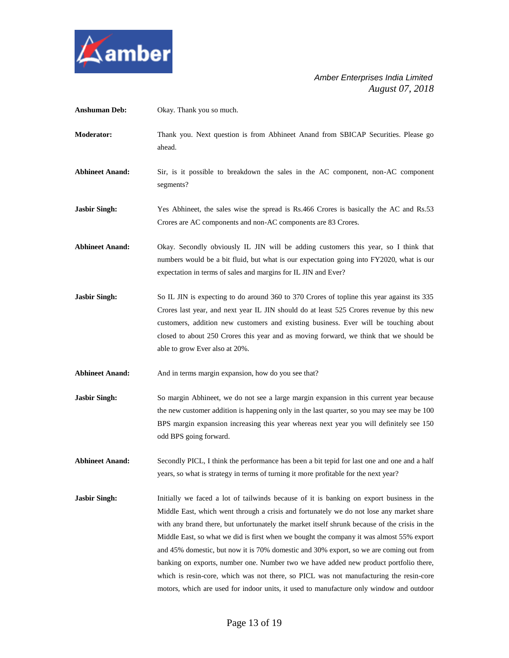

| <b>Anshuman Deb:</b>   | Okay. Thank you so much.                                                                                                                                                                                                                                                                                                                                                                                                                                                                                                                                                                                                                                                                                                                                  |
|------------------------|-----------------------------------------------------------------------------------------------------------------------------------------------------------------------------------------------------------------------------------------------------------------------------------------------------------------------------------------------------------------------------------------------------------------------------------------------------------------------------------------------------------------------------------------------------------------------------------------------------------------------------------------------------------------------------------------------------------------------------------------------------------|
| Moderator:             | Thank you. Next question is from Abhineet Anand from SBICAP Securities. Please go<br>ahead.                                                                                                                                                                                                                                                                                                                                                                                                                                                                                                                                                                                                                                                               |
| <b>Abhineet Anand:</b> | Sir, is it possible to breakdown the sales in the AC component, non-AC component<br>segments?                                                                                                                                                                                                                                                                                                                                                                                                                                                                                                                                                                                                                                                             |
| <b>Jasbir Singh:</b>   | Yes Abhineet, the sales wise the spread is Rs.466 Crores is basically the AC and Rs.53<br>Crores are AC components and non-AC components are 83 Crores.                                                                                                                                                                                                                                                                                                                                                                                                                                                                                                                                                                                                   |
| <b>Abhineet Anand:</b> | Okay. Secondly obviously IL JIN will be adding customers this year, so I think that<br>numbers would be a bit fluid, but what is our expectation going into FY2020, what is our<br>expectation in terms of sales and margins for IL JIN and Ever?                                                                                                                                                                                                                                                                                                                                                                                                                                                                                                         |
| <b>Jasbir Singh:</b>   | So IL JIN is expecting to do around 360 to 370 Crores of topline this year against its 335<br>Crores last year, and next year IL JIN should do at least 525 Crores revenue by this new<br>customers, addition new customers and existing business. Ever will be touching about<br>closed to about 250 Crores this year and as moving forward, we think that we should be<br>able to grow Ever also at 20%.                                                                                                                                                                                                                                                                                                                                                |
| <b>Abhineet Anand:</b> | And in terms margin expansion, how do you see that?                                                                                                                                                                                                                                                                                                                                                                                                                                                                                                                                                                                                                                                                                                       |
| Jasbir Singh:          | So margin Abhineet, we do not see a large margin expansion in this current year because<br>the new customer addition is happening only in the last quarter, so you may see may be 100<br>BPS margin expansion increasing this year whereas next year you will definitely see 150<br>odd BPS going forward.                                                                                                                                                                                                                                                                                                                                                                                                                                                |
| <b>Abhineet Anand:</b> | Secondly PICL, I think the performance has been a bit tepid for last one and one and a half<br>years, so what is strategy in terms of turning it more profitable for the next year?                                                                                                                                                                                                                                                                                                                                                                                                                                                                                                                                                                       |
| Jasbir Singh:          | Initially we faced a lot of tailwinds because of it is banking on export business in the<br>Middle East, which went through a crisis and fortunately we do not lose any market share<br>with any brand there, but unfortunately the market itself shrunk because of the crisis in the<br>Middle East, so what we did is first when we bought the company it was almost 55% export<br>and 45% domestic, but now it is 70% domestic and 30% export, so we are coming out from<br>banking on exports, number one. Number two we have added new product portfolio there,<br>which is resin-core, which was not there, so PICL was not manufacturing the resin-core<br>motors, which are used for indoor units, it used to manufacture only window and outdoor |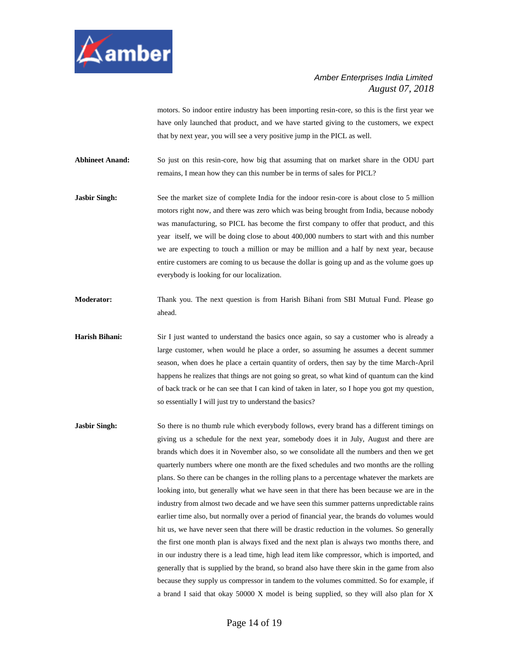

motors. So indoor entire industry has been importing resin-core, so this is the first year we have only launched that product, and we have started giving to the customers, we expect that by next year, you will see a very positive jump in the PICL as well.

**Abhineet Anand:** So just on this resin-core, how big that assuming that on market share in the ODU part remains, I mean how they can this number be in terms of sales for PICL?

- **Jasbir Singh:** See the market size of complete India for the indoor resin-core is about close to 5 million motors right now, and there was zero which was being brought from India, because nobody was manufacturing, so PICL has become the first company to offer that product, and this year itself, we will be doing close to about 400,000 numbers to start with and this number we are expecting to touch a million or may be million and a half by next year, because entire customers are coming to us because the dollar is going up and as the volume goes up everybody is looking for our localization.
- **Moderator:** Thank you. The next question is from Harish Bihani from SBI Mutual Fund. Please go ahead.
- Harish Bihani: Sir I just wanted to understand the basics once again, so say a customer who is already a large customer, when would he place a order, so assuming he assumes a decent summer season, when does he place a certain quantity of orders, then say by the time March-April happens he realizes that things are not going so great, so what kind of quantum can the kind of back track or he can see that I can kind of taken in later, so I hope you got my question, so essentially I will just try to understand the basics?
- **Jasbir Singh:** So there is no thumb rule which everybody follows, every brand has a different timings on giving us a schedule for the next year, somebody does it in July, August and there are brands which does it in November also, so we consolidate all the numbers and then we get quarterly numbers where one month are the fixed schedules and two months are the rolling plans. So there can be changes in the rolling plans to a percentage whatever the markets are looking into, but generally what we have seen in that there has been because we are in the industry from almost two decade and we have seen this summer patterns unpredictable rains earlier time also, but normally over a period of financial year, the brands do volumes would hit us, we have never seen that there will be drastic reduction in the volumes. So generally the first one month plan is always fixed and the next plan is always two months there, and in our industry there is a lead time, high lead item like compressor, which is imported, and generally that is supplied by the brand, so brand also have there skin in the game from also because they supply us compressor in tandem to the volumes committed. So for example, if a brand I said that okay 50000 X model is being supplied, so they will also plan for X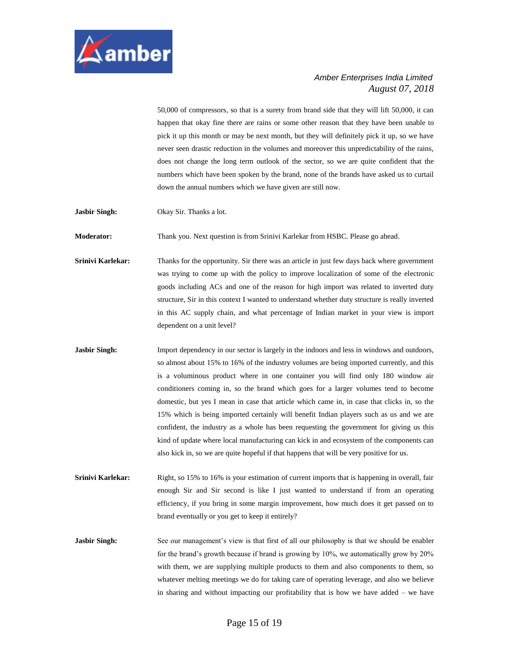

50,000 of compressors, so that is a surety from brand side that they will lift 50,000, it can happen that okay fine there are rains or some other reason that they have been unable to pick it up this month or may be next month, but they will definitely pick it up, so we have never seen drastic reduction in the volumes and moreover this unpredictability of the rains, does not change the long term outlook of the sector, so we are quite confident that the numbers which have been spoken by the brand, none of the brands have asked us to curtail down the annual numbers which we have given are still now.

**Jasbir Singh:** Okay Sir. Thanks a lot.

**Moderator:** Thank you. Next question is from Srinivi Karlekar from HSBC. Please go ahead.

**Srinivi Karlekar:** Thanks for the opportunity. Sir there was an article in just few days back where government was trying to come up with the policy to improve localization of some of the electronic goods including ACs and one of the reason for high import was related to inverted duty structure, Sir in this context I wanted to understand whether duty structure is really inverted in this AC supply chain, and what percentage of Indian market in your view is import dependent on a unit level?

- **Jasbir Singh:** Import dependency in our sector is largely in the indoors and less in windows and outdoors, so almost about 15% to 16% of the industry volumes are being imported currently, and this is a voluminous product where in one container you will find only 180 window air conditioners coming in, so the brand which goes for a larger volumes tend to become domestic, but yes I mean in case that article which came in, in case that clicks in, so the 15% which is being imported certainly will benefit Indian players such as us and we are confident, the industry as a whole has been requesting the government for giving us this kind of update where local manufacturing can kick in and ecosystem of the components can also kick in, so we are quite hopeful if that happens that will be very positive for us.
- **Srinivi Karlekar:** Right, so 15% to 16% is your estimation of current imports that is happening in overall, fair enough Sir and Sir second is like I just wanted to understand if from an operating efficiency, if you bring in some margin improvement, how much does it get passed on to brand eventually or you get to keep it entirely?

**Jasbir Singh:** See our management's view is that first of all our philosophy is that we should be enabler for the brand's growth because if brand is growing by 10%, we automatically grow by 20% with them, we are supplying multiple products to them and also components to them, so whatever melting meetings we do for taking care of operating leverage, and also we believe in sharing and without impacting our profitability that is how we have added – we have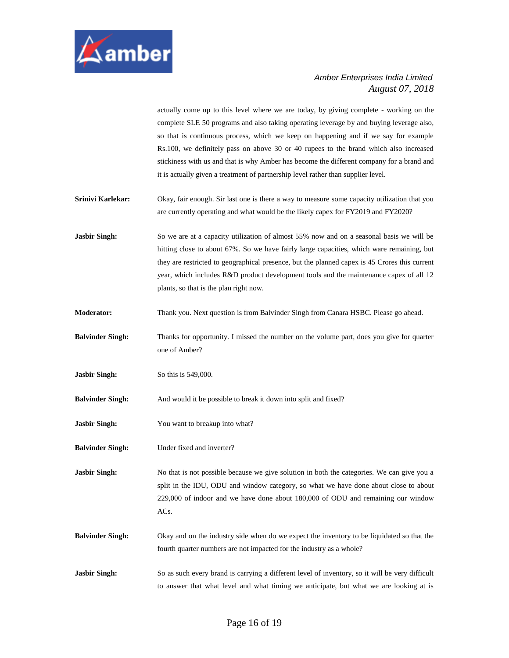

actually come up to this level where we are today, by giving complete - working on the complete SLE 50 programs and also taking operating leverage by and buying leverage also, so that is continuous process, which we keep on happening and if we say for example Rs.100, we definitely pass on above 30 or 40 rupees to the brand which also increased stickiness with us and that is why Amber has become the different company for a brand and it is actually given a treatment of partnership level rather than supplier level.

**Srinivi Karlekar:** Okay, fair enough. Sir last one is there a way to measure some capacity utilization that you are currently operating and what would be the likely capex for FY2019 and FY2020?

**Jasbir Singh:** So we are at a capacity utilization of almost 55% now and on a seasonal basis we will be hitting close to about 67%. So we have fairly large capacities, which ware remaining, but they are restricted to geographical presence, but the planned capex is 45 Crores this current year, which includes R&D product development tools and the maintenance capex of all 12 plants, so that is the plan right now.

- **Moderator:** Thank you. Next question is from Balvinder Singh from Canara HSBC. Please go ahead.
- **Balvinder Singh:** Thanks for opportunity. I missed the number on the volume part, does you give for quarter one of Amber?
- **Jasbir Singh:** So this is 549,000.
- **Balvinder Singh:** And would it be possible to break it down into split and fixed?
- **Jasbir Singh:** You want to breakup into what?
- **Balvinder Singh:** Under fixed and inverter?

**Jasbir Singh:** No that is not possible because we give solution in both the categories. We can give you a split in the IDU, ODU and window category, so what we have done about close to about 229,000 of indoor and we have done about 180,000 of ODU and remaining our window ACs.

**Balvinder Singh:** Okay and on the industry side when do we expect the inventory to be liquidated so that the fourth quarter numbers are not impacted for the industry as a whole?

**Jasbir Singh:** So as such every brand is carrying a different level of inventory, so it will be very difficult to answer that what level and what timing we anticipate, but what we are looking at is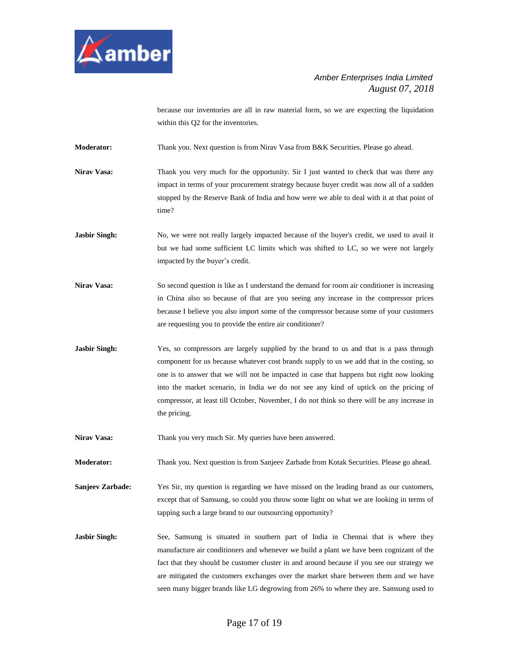

because our inventories are all in raw material form, so we are expecting the liquidation within this Q2 for the inventories.

**Moderator:** Thank you. Next question is from Nirav Vasa from B&K Securities. Please go ahead.

- Nirav Vasa: Thank you very much for the opportunity. Sir I just wanted to check that was there any impact in terms of your procurement strategy because buyer credit was now all of a sudden stopped by the Reserve Bank of India and how were we able to deal with it at that point of time?
- **Jasbir Singh:** No, we were not really largely impacted because of the buyer's credit, we used to avail it but we had some sufficient LC limits which was shifted to LC, so we were not largely impacted by the buyer's credit.
- **Nirav Vasa:** So second question is like as I understand the demand for room air conditioner is increasing in China also so because of that are you seeing any increase in the compressor prices because I believe you also import some of the compressor because some of your customers are requesting you to provide the entire air conditioner?
- **Jasbir Singh:** Yes, so compressors are largely supplied by the brand to us and that is a pass through component for us because whatever cost brands supply to us we add that in the costing, so one is to answer that we will not be impacted in case that happens but right now looking into the market scenario, in India we do not see any kind of uptick on the pricing of compressor, at least till October, November, I do not think so there will be any increase in the pricing.
- Nirav Vasa: Thank you very much Sir. My queries have been answered.

**Moderator:** Thank you. Next question is from Sanjeev Zarbade from Kotak Securities. Please go ahead.

- **Sanjeev Zarbade:** Yes Sir, my question is regarding we have missed on the leading brand as our customers, except that of Samsung, so could you throw some light on what we are looking in terms of tapping such a large brand to our outsourcing opportunity?
- **Jasbir Singh:** See, Samsung is situated in southern part of India in Chennai that is where they manufacture air conditioners and whenever we build a plant we have been cognizant of the fact that they should be customer cluster in and around because if you see our strategy we are mitigated the customers exchanges over the market share between them and we have seen many bigger brands like LG degrowing from 26% to where they are. Samsung used to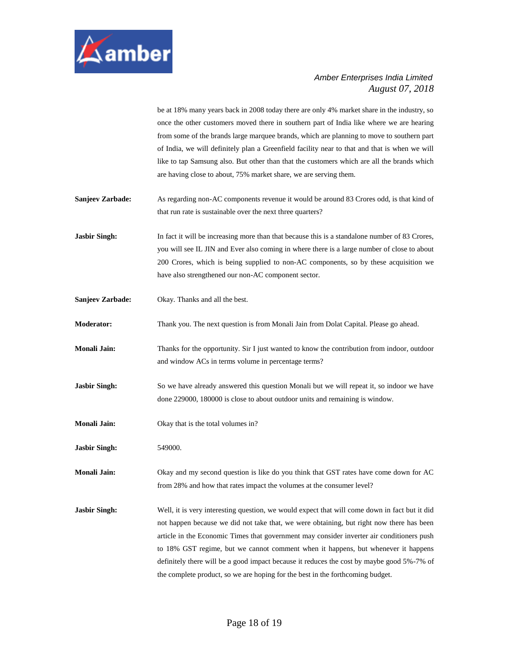

be at 18% many years back in 2008 today there are only 4% market share in the industry, so once the other customers moved there in southern part of India like where we are hearing from some of the brands large marquee brands, which are planning to move to southern part of India, we will definitely plan a Greenfield facility near to that and that is when we will like to tap Samsung also. But other than that the customers which are all the brands which are having close to about, 75% market share, we are serving them.

**Sanjeev Zarbade:** As regarding non-AC components revenue it would be around 83 Crores odd, is that kind of that run rate is sustainable over the next three quarters?

**Jasbir Singh:** In fact it will be increasing more than that because this is a standalone number of 83 Crores, you will see IL JIN and Ever also coming in where there is a large number of close to about 200 Crores, which is being supplied to non-AC components, so by these acquisition we have also strengthened our non-AC component sector.

**Sanjeev Zarbade:** Okay. Thanks and all the best.

**Moderator:** Thank you. The next question is from Monali Jain from Dolat Capital. Please go ahead.

**Monali Jain:** Thanks for the opportunity. Sir I just wanted to know the contribution from indoor, outdoor and window ACs in terms volume in percentage terms?

**Jasbir Singh:** So we have already answered this question Monali but we will repeat it, so indoor we have done 229000, 180000 is close to about outdoor units and remaining is window.

**Monali Jain:** Okay that is the total volumes in?

**Jasbir Singh:** 549000.

**Monali Jain:** Okay and my second question is like do you think that GST rates have come down for AC from 28% and how that rates impact the volumes at the consumer level?

**Jasbir Singh:** Well, it is very interesting question, we would expect that will come down in fact but it did not happen because we did not take that, we were obtaining, but right now there has been article in the Economic Times that government may consider inverter air conditioners push to 18% GST regime, but we cannot comment when it happens, but whenever it happens definitely there will be a good impact because it reduces the cost by maybe good 5%-7% of the complete product, so we are hoping for the best in the forthcoming budget.